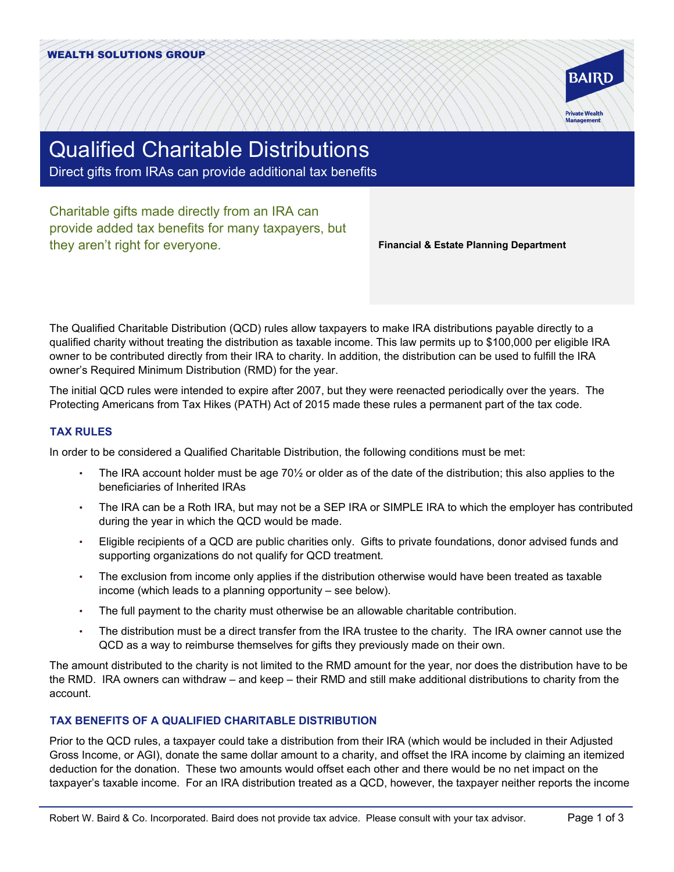

# Qualified Charitable Distributions

Direct gifts from IRAs can provide additional tax benefits

Charitable gifts made directly from an IRA can provide added tax benefits for many taxpayers, but they aren't right for everyone.

**Financial & Estate Planning Department**

The Qualified Charitable Distribution (QCD) rules allow taxpayers to make IRA distributions payable directly to a qualified charity without treating the distribution as taxable income. This law permits up to \$100,000 per eligible IRA owner to be contributed directly from their IRA to charity. In addition, the distribution can be used to fulfill the IRA owner's Required Minimum Distribution (RMD) for the year.

The initial QCD rules were intended to expire after 2007, but they were reenacted periodically over the years. The Protecting Americans from Tax Hikes (PATH) Act of 2015 made these rules a permanent part of the tax code.

## **TAX RULES**

In order to be considered a Qualified Charitable Distribution, the following conditions must be met:

- The IRA account holder must be age 70½ or older as of the date of the distribution; this also applies to the beneficiaries of Inherited IRAs
- The IRA can be a Roth IRA, but may not be a SEP IRA or SIMPLE IRA to which the employer has contributed during the year in which the QCD would be made.
- Eligible recipients of a QCD are public charities only. Gifts to private foundations, donor advised funds and supporting organizations do not qualify for QCD treatment.
- The exclusion from income only applies if the distribution otherwise would have been treated as taxable income (which leads to a planning opportunity – see below).
- The full payment to the charity must otherwise be an allowable charitable contribution.
- The distribution must be a direct transfer from the IRA trustee to the charity. The IRA owner cannot use the QCD as a way to reimburse themselves for gifts they previously made on their own.

The amount distributed to the charity is not limited to the RMD amount for the year, nor does the distribution have to be the RMD. IRA owners can withdraw – and keep – their RMD and still make additional distributions to charity from the account.

### **TAX BENEFITS OF A QUALIFIED CHARITABLE DISTRIBUTION**

Prior to the QCD rules, a taxpayer could take a distribution from their IRA (which would be included in their Adjusted Gross Income, or AGI), donate the same dollar amount to a charity, and offset the IRA income by claiming an itemized deduction for the donation. These two amounts would offset each other and there would be no net impact on the taxpayer's taxable income. For an IRA distribution treated as a QCD, however, the taxpayer neither reports the income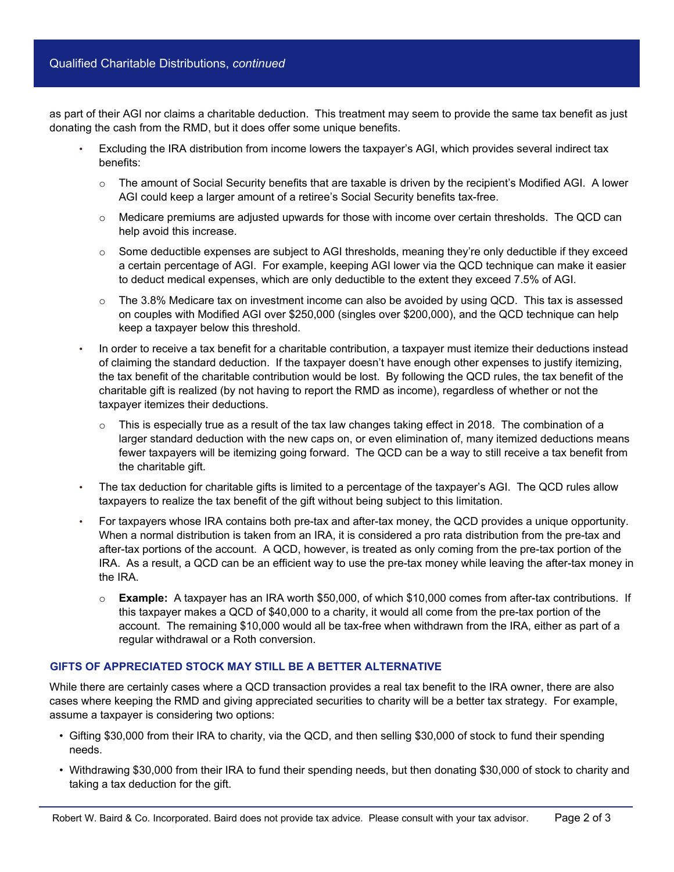as part of their AGI nor claims a charitable deduction. This treatment may seem to provide the same tax benefit as just donating the cash from the RMD, but it does offer some unique benefits.

- Excluding the IRA distribution from income lowers the taxpayer's AGI, which provides several indirect tax benefits:
	- $\circ$  The amount of Social Security benefits that are taxable is driven by the recipient's Modified AGI. A lower AGI could keep a larger amount of a retiree's Social Security benefits tax-free.
	- $\circ$  Medicare premiums are adjusted upwards for those with income over certain thresholds. The QCD can help avoid this increase.
	- $\circ$  Some deductible expenses are subject to AGI thresholds, meaning they're only deductible if they exceed a certain percentage of AGI. For example, keeping AGI lower via the QCD technique can make it easier to deduct medical expenses, which are only deductible to the extent they exceed 7.5% of AGI.
	- o The 3.8% Medicare tax on investment income can also be avoided by using QCD. This tax is assessed on couples with Modified AGI over \$250,000 (singles over \$200,000), and the QCD technique can help keep a taxpayer below this threshold.
- In order to receive a tax benefit for a charitable contribution, a taxpayer must itemize their deductions instead of claiming the standard deduction. If the taxpayer doesn't have enough other expenses to justify itemizing, the tax benefit of the charitable contribution would be lost. By following the QCD rules, the tax benefit of the charitable gift is realized (by not having to report the RMD as income), regardless of whether or not the taxpayer itemizes their deductions.
	- $\circ$  This is especially true as a result of the tax law changes taking effect in 2018. The combination of a larger standard deduction with the new caps on, or even elimination of, many itemized deductions means fewer taxpayers will be itemizing going forward. The QCD can be a way to still receive a tax benefit from the charitable gift.
- The tax deduction for charitable gifts is limited to a percentage of the taxpayer's AGI. The QCD rules allow taxpayers to realize the tax benefit of the gift without being subject to this limitation.
- For taxpayers whose IRA contains both pre-tax and after-tax money, the QCD provides a unique opportunity. When a normal distribution is taken from an IRA, it is considered a pro rata distribution from the pre-tax and after-tax portions of the account. A QCD, however, is treated as only coming from the pre-tax portion of the IRA. As a result, a QCD can be an efficient way to use the pre-tax money while leaving the after-tax money in the IRA.
	- o **Example:** A taxpayer has an IRA worth \$50,000, of which \$10,000 comes from after-tax contributions. If this taxpayer makes a QCD of \$40,000 to a charity, it would all come from the pre-tax portion of the account. The remaining \$10,000 would all be tax-free when withdrawn from the IRA, either as part of a regular withdrawal or a Roth conversion.

### **GIFTS OF APPRECIATED STOCK MAY STILL BE A BETTER ALTERNATIVE**

While there are certainly cases where a QCD transaction provides a real tax benefit to the IRA owner, there are also cases where keeping the RMD and giving appreciated securities to charity will be a better tax strategy. For example, assume a taxpayer is considering two options:

- Gifting \$30,000 from their IRA to charity, via the QCD, and then selling \$30,000 of stock to fund their spending needs.
- Withdrawing \$30,000 from their IRA to fund their spending needs, but then donating \$30,000 of stock to charity and taking a tax deduction for the gift.